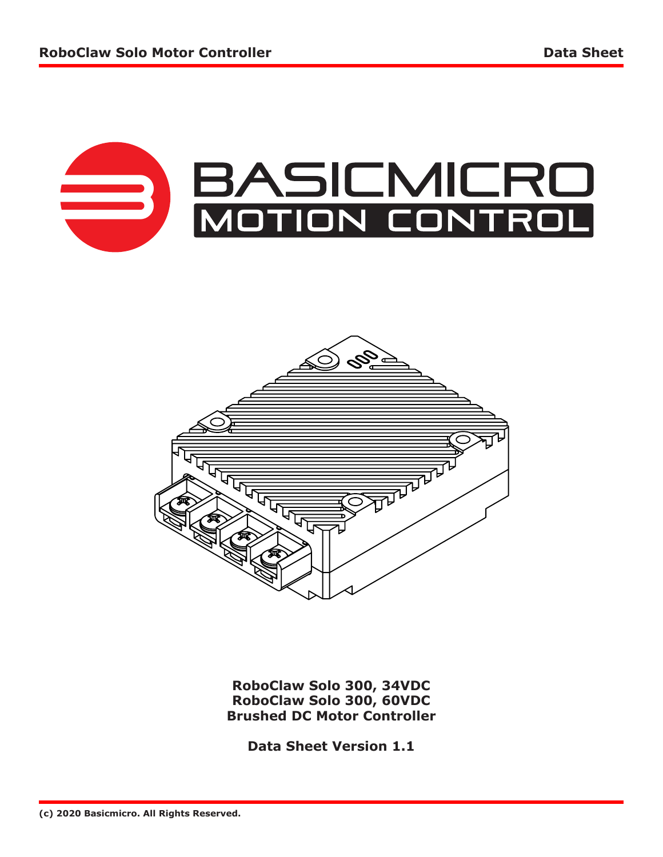



**RoboClaw Solo 300, 34VDC RoboClaw Solo 300, 60VDC Brushed DC Motor Controller**

**Data Sheet Version 1.1**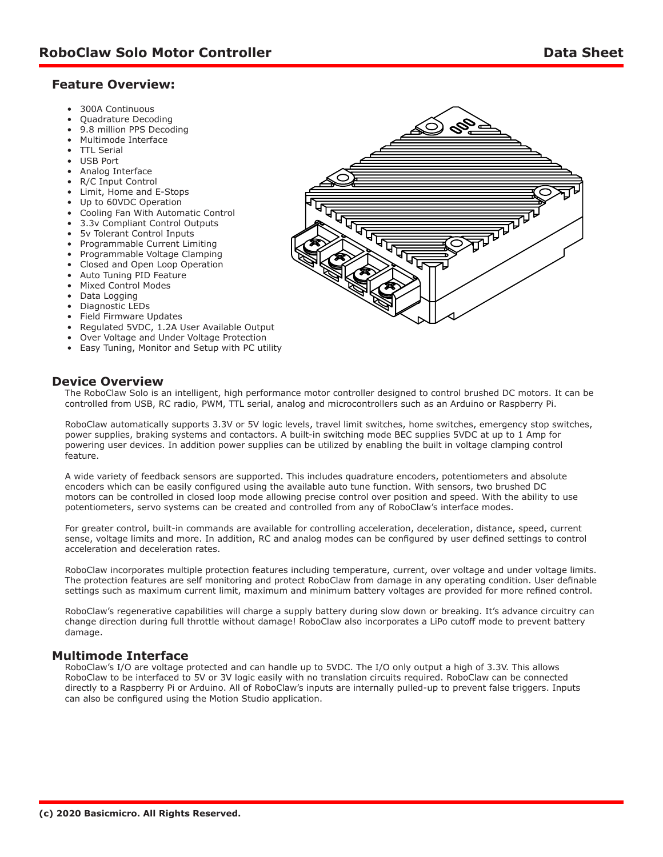## **Feature Overview:**

- 300A Continuous
- Quadrature Decoding
- 9.8 million PPS Decoding
- Multimode Interface
- TTL Serial
- USB Port
- Analog Interface
- R/C Input Control
- Limit, Home and E-Stops
- Up to 60VDC Operation
- Cooling Fan With Automatic Control • 3.3v Compliant Control Outputs
- 
- 5v Tolerant Control Inputs
- Programmable Current Limiting
- Programmable Voltage Clamping
- Closed and Open Loop Operation
- Auto Tuning PID Feature
- Mixed Control Modes
- Data Logging
- Diagnostic LEDs
- Field Firmware Updates
- Regulated 5VDC, 1.2A User Available Output
- Over Voltage and Under Voltage Protection
- Easy Tuning, Monitor and Setup with PC utility

## **Device Overview**

The RoboClaw Solo is an intelligent, high performance motor controller designed to control brushed DC motors. It can be controlled from USB, RC radio, PWM, TTL serial, analog and microcontrollers such as an Arduino or Raspberry Pi.

RoboClaw automatically supports 3.3V or 5V logic levels, travel limit switches, home switches, emergency stop switches, power supplies, braking systems and contactors. A built-in switching mode BEC supplies 5VDC at up to 1 Amp for powering user devices. In addition power supplies can be utilized by enabling the built in voltage clamping control feature.

A wide variety of feedback sensors are supported. This includes quadrature encoders, potentiometers and absolute encoders which can be easily configured using the available auto tune function. With sensors, two brushed DC motors can be controlled in closed loop mode allowing precise control over position and speed. With the ability to use potentiometers, servo systems can be created and controlled from any of RoboClaw's interface modes.

For greater control, built-in commands are available for controlling acceleration, deceleration, distance, speed, current sense, voltage limits and more. In addition, RC and analog modes can be configured by user defined settings to control acceleration and deceleration rates.

RoboClaw incorporates multiple protection features including temperature, current, over voltage and under voltage limits. The protection features are self monitoring and protect RoboClaw from damage in any operating condition. User definable settings such as maximum current limit, maximum and minimum battery voltages are provided for more refined control.

RoboClaw's regenerative capabilities will charge a supply battery during slow down or breaking. It's advance circuitry can change direction during full throttle without damage! RoboClaw also incorporates a LiPo cutoff mode to prevent battery damage.

## **Multimode Interface**

RoboClaw's I/O are voltage protected and can handle up to 5VDC. The I/O only output a high of 3.3V. This allows RoboClaw to be interfaced to 5V or 3V logic easily with no translation circuits required. RoboClaw can be connected directly to a Raspberry Pi or Arduino. All of RoboClaw's inputs are internally pulled-up to prevent false triggers. Inputs can also be configured using the Motion Studio application.

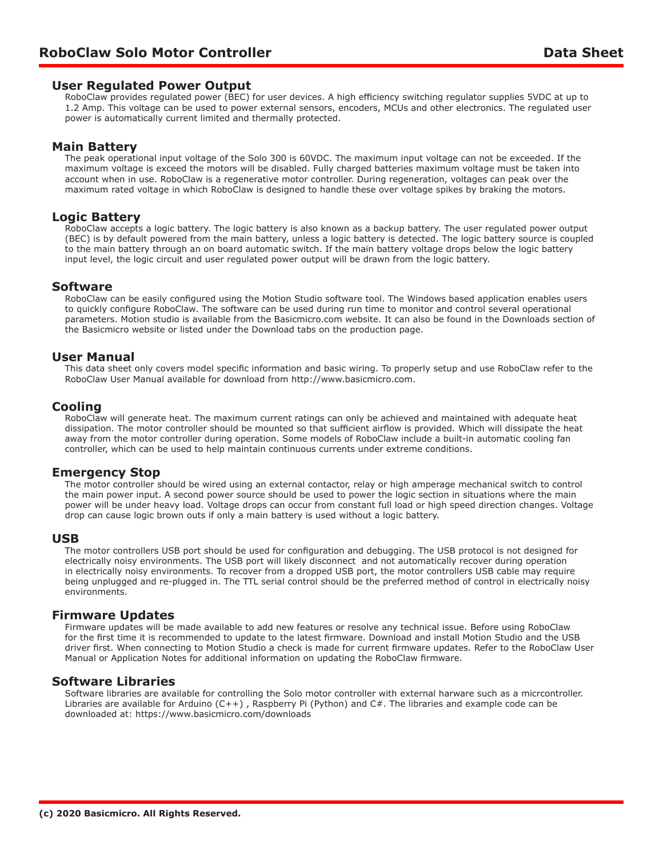#### **User Regulated Power Output**

RoboClaw provides regulated power (BEC) for user devices. A high efficiency switching regulator supplies 5VDC at up to 1.2 Amp. This voltage can be used to power external sensors, encoders, MCUs and other electronics. The regulated user power is automatically current limited and thermally protected.

## **Main Battery**

The peak operational input voltage of the Solo 300 is 60VDC. The maximum input voltage can not be exceeded. If the maximum voltage is exceed the motors will be disabled. Fully charged batteries maximum voltage must be taken into account when in use. RoboClaw is a regenerative motor controller. During regeneration, voltages can peak over the maximum rated voltage in which RoboClaw is designed to handle these over voltage spikes by braking the motors.

#### **Logic Battery**

RoboClaw accepts a logic battery. The logic battery is also known as a backup battery. The user regulated power output (BEC) is by default powered from the main battery, unless a logic battery is detected. The logic battery source is coupled to the main battery through an on board automatic switch. If the main battery voltage drops below the logic battery input level, the logic circuit and user regulated power output will be drawn from the logic battery.

#### **Software**

RoboClaw can be easily configured using the Motion Studio software tool. The Windows based application enables users to quickly configure RoboClaw. The software can be used during run time to monitor and control several operational parameters. Motion studio is available from the Basicmicro.com website. It can also be found in the Downloads section of the Basicmicro website or listed under the Download tabs on the production page.

#### **User Manual**

This data sheet only covers model specific information and basic wiring. To properly setup and use RoboClaw refer to the RoboClaw User Manual available for download from http://www.basicmicro.com.

## **Cooling**

RoboClaw will generate heat. The maximum current ratings can only be achieved and maintained with adequate heat dissipation. The motor controller should be mounted so that sufficient airflow is provided. Which will dissipate the heat away from the motor controller during operation. Some models of RoboClaw include a built-in automatic cooling fan controller, which can be used to help maintain continuous currents under extreme conditions.

## **Emergency Stop**

The motor controller should be wired using an external contactor, relay or high amperage mechanical switch to control the main power input. A second power source should be used to power the logic section in situations where the main power will be under heavy load. Voltage drops can occur from constant full load or high speed direction changes. Voltage drop can cause logic brown outs if only a main battery is used without a logic battery.

#### **USB**

The motor controllers USB port should be used for configuration and debugging. The USB protocol is not designed for electrically noisy environments. The USB port will likely disconnect and not automatically recover during operation in electrically noisy environments. To recover from a dropped USB port, the motor controllers USB cable may require being unplugged and re-plugged in. The TTL serial control should be the preferred method of control in electrically noisy environments.

#### **Firmware Updates**

Firmware updates will be made available to add new features or resolve any technical issue. Before using RoboClaw for the first time it is recommended to update to the latest firmware. Download and install Motion Studio and the USB driver first. When connecting to Motion Studio a check is made for current firmware updates. Refer to the RoboClaw User Manual or Application Notes for additional information on updating the RoboClaw firmware.

## **Software Libraries**

Software libraries are available for controlling the Solo motor controller with external harware such as a micrcontroller. Libraries are available for Arduino (C++) , Raspberry Pi (Python) and C#. The libraries and example code can be downloaded at: https://www.basicmicro.com/downloads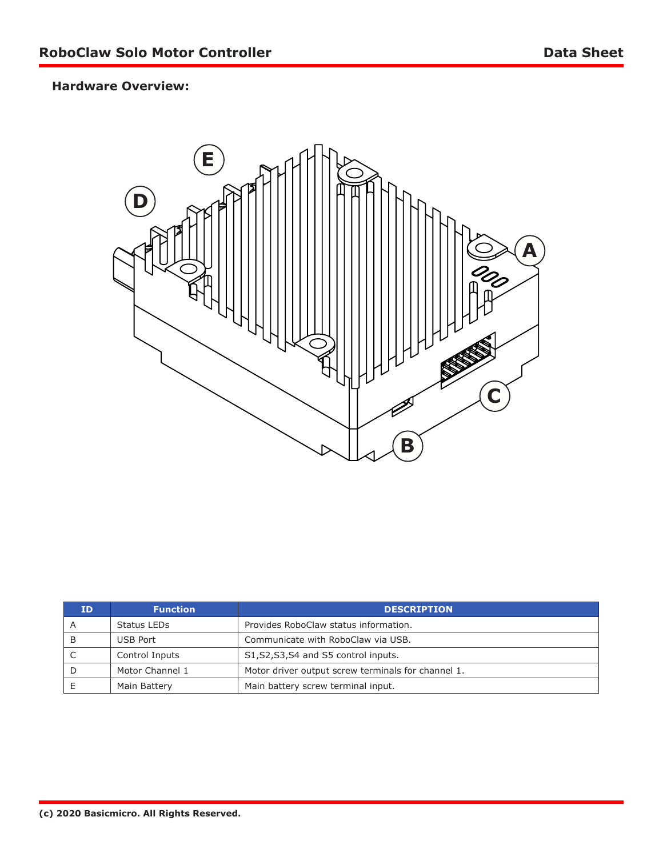# **Hardware Overview:**



| חז | <b>Function</b> | <b>DESCRIPTION</b>                                 |  |  |  |  |
|----|-----------------|----------------------------------------------------|--|--|--|--|
| A  | Status LEDs     | Provides RoboClaw status information.              |  |  |  |  |
| B  | USB Port        | Communicate with RoboClaw via USB.                 |  |  |  |  |
|    | Control Inputs  | S1, S2, S3, S4 and S5 control inputs.              |  |  |  |  |
|    | Motor Channel 1 | Motor driver output screw terminals for channel 1. |  |  |  |  |
|    | Main Battery    | Main battery screw terminal input.                 |  |  |  |  |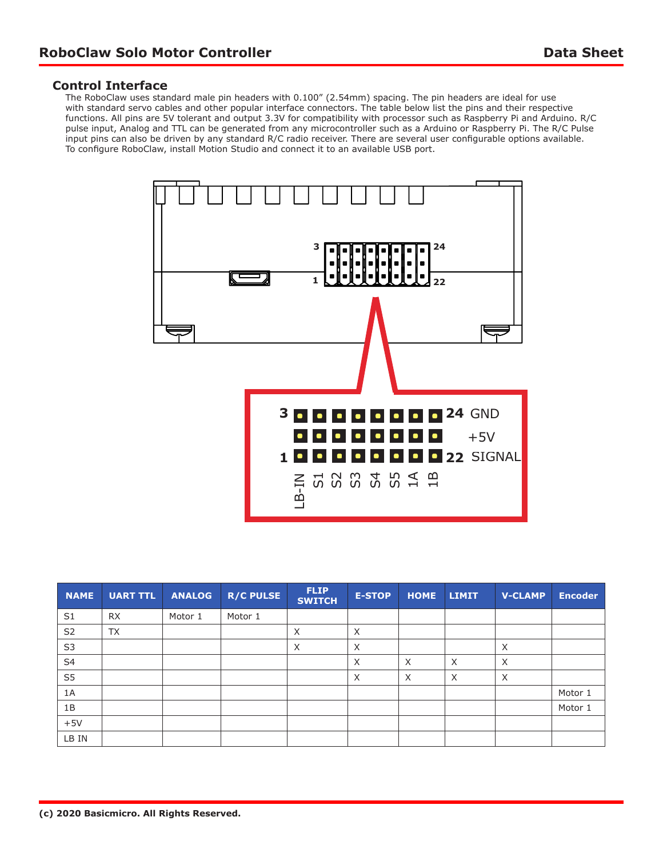#### **Control Interface**

The RoboClaw uses standard male pin headers with 0.100" (2.54mm) spacing. The pin headers are ideal for use with standard servo cables and other popular interface connectors. The table below list the pins and their respective functions. All pins are 5V tolerant and output 3.3V for compatibility with processor such as Raspberry Pi and Arduino. R/C pulse input, Analog and TTL can be generated from any microcontroller such as a Arduino or Raspberry Pi. The R/C Pulse input pins can also be driven by any standard R/C radio receiver. There are several user configurable options available. To configure RoboClaw, install Motion Studio and connect it to an available USB port.



| <b>NAME</b>    | <b>UART TTL</b> | <b>ANALOG</b> | <b>R/C PULSE</b> | <b>FLIP</b><br><b>SWITCH</b> | <b>E-STOP</b> | <b>HOME</b> | <b>LIMIT</b> | <b>V-CLAMP</b> | <b>Encoder</b> |
|----------------|-----------------|---------------|------------------|------------------------------|---------------|-------------|--------------|----------------|----------------|
| S1             | <b>RX</b>       | Motor 1       | Motor 1          |                              |               |             |              |                |                |
| S <sub>2</sub> | <b>TX</b>       |               |                  | $\times$                     | X             |             |              |                |                |
| S <sub>3</sub> |                 |               |                  | $\times$                     | X             |             |              | X              |                |
| S <sub>4</sub> |                 |               |                  |                              | X             | X           | $\times$     | X              |                |
| S <sub>5</sub> |                 |               |                  |                              | X             | X           | $\times$     | X              |                |
| 1A             |                 |               |                  |                              |               |             |              |                | Motor 1        |
| 1B             |                 |               |                  |                              |               |             |              |                | Motor 1        |
| $+5V$          |                 |               |                  |                              |               |             |              |                |                |
| LB IN          |                 |               |                  |                              |               |             |              |                |                |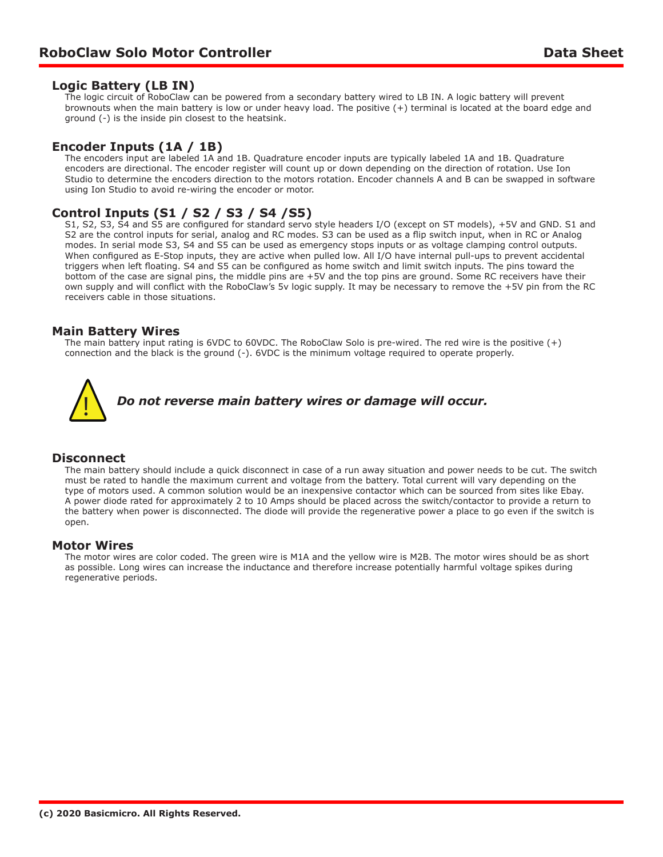## **Logic Battery (LB IN)**

The logic circuit of RoboClaw can be powered from a secondary battery wired to LB IN. A logic battery will prevent brownouts when the main battery is low or under heavy load. The positive (+) terminal is located at the board edge and ground (-) is the inside pin closest to the heatsink.

## **Encoder Inputs (1A / 1B)**

The encoders input are labeled 1A and 1B. Quadrature encoder inputs are typically labeled 1A and 1B. Quadrature encoders are directional. The encoder register will count up or down depending on the direction of rotation. Use Ion Studio to determine the encoders direction to the motors rotation. Encoder channels A and B can be swapped in software using Ion Studio to avoid re-wiring the encoder or motor.

## **Control Inputs (S1 / S2 / S3 / S4 /S5)**

S1, S2, S3, S4 and S5 are configured for standard servo style headers I/O (except on ST models), +5V and GND. S1 and S2 are the control inputs for serial, analog and RC modes. S3 can be used as a flip switch input, when in RC or Analog modes. In serial mode S3, S4 and S5 can be used as emergency stops inputs or as voltage clamping control outputs. When configured as E-Stop inputs, they are active when pulled low. All I/O have internal pull-ups to prevent accidental triggers when left floating. S4 and S5 can be configured as home switch and limit switch inputs. The pins toward the bottom of the case are signal pins, the middle pins are +5V and the top pins are ground. Some RC receivers have their own supply and will conflict with the RoboClaw's 5v logic supply. It may be necessary to remove the +5V pin from the RC receivers cable in those situations.

## **Main Battery Wires**

The main battery input rating is 6VDC to 60VDC. The RoboClaw Solo is pre-wired. The red wire is the positive (+) connection and the black is the ground (-). 6VDC is the minimum voltage required to operate properly.



## **Disconnect**

The main battery should include a quick disconnect in case of a run away situation and power needs to be cut. The switch must be rated to handle the maximum current and voltage from the battery. Total current will vary depending on the type of motors used. A common solution would be an inexpensive contactor which can be sourced from sites like Ebay. A power diode rated for approximately 2 to 10 Amps should be placed across the switch/contactor to provide a return to the battery when power is disconnected. The diode will provide the regenerative power a place to go even if the switch is open.

#### **Motor Wires**

The motor wires are color coded. The green wire is M1A and the yellow wire is M2B. The motor wires should be as short as possible. Long wires can increase the inductance and therefore increase potentially harmful voltage spikes during regenerative periods.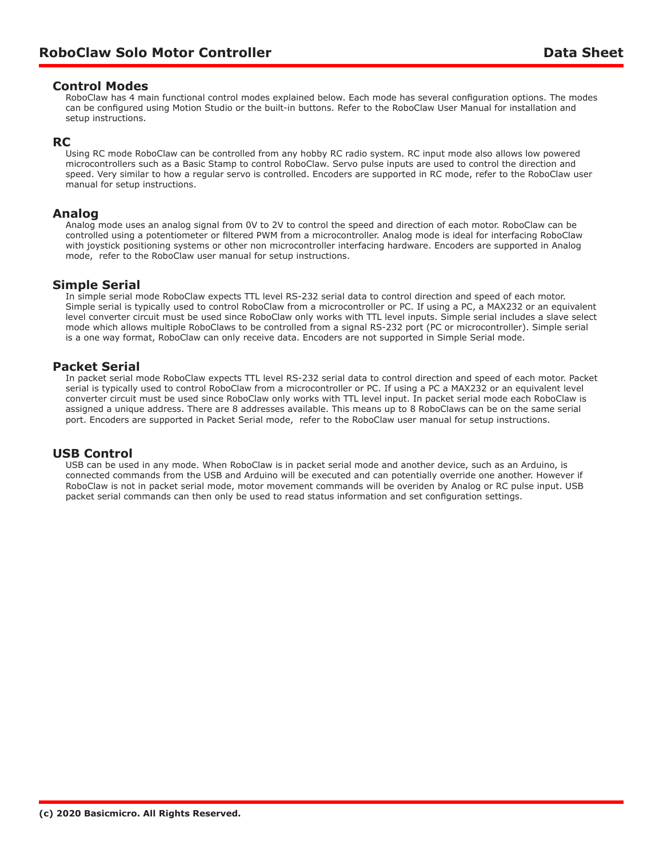#### **Control Modes**

RoboClaw has 4 main functional control modes explained below. Each mode has several configuration options. The modes can be configured using Motion Studio or the built-in buttons. Refer to the RoboClaw User Manual for installation and setup instructions.

#### **RC**

Using RC mode RoboClaw can be controlled from any hobby RC radio system. RC input mode also allows low powered microcontrollers such as a Basic Stamp to control RoboClaw. Servo pulse inputs are used to control the direction and speed. Very similar to how a regular servo is controlled. Encoders are supported in RC mode, refer to the RoboClaw user manual for setup instructions.

#### **Analog**

Analog mode uses an analog signal from 0V to 2V to control the speed and direction of each motor. RoboClaw can be controlled using a potentiometer or filtered PWM from a microcontroller. Analog mode is ideal for interfacing RoboClaw with joystick positioning systems or other non microcontroller interfacing hardware. Encoders are supported in Analog mode, refer to the RoboClaw user manual for setup instructions.

## **Simple Serial**

In simple serial mode RoboClaw expects TTL level RS-232 serial data to control direction and speed of each motor. Simple serial is typically used to control RoboClaw from a microcontroller or PC. If using a PC, a MAX232 or an equivalent level converter circuit must be used since RoboClaw only works with TTL level inputs. Simple serial includes a slave select mode which allows multiple RoboClaws to be controlled from a signal RS-232 port (PC or microcontroller). Simple serial is a one way format, RoboClaw can only receive data. Encoders are not supported in Simple Serial mode.

## **Packet Serial**

In packet serial mode RoboClaw expects TTL level RS-232 serial data to control direction and speed of each motor. Packet serial is typically used to control RoboClaw from a microcontroller or PC. If using a PC a MAX232 or an equivalent level converter circuit must be used since RoboClaw only works with TTL level input. In packet serial mode each RoboClaw is assigned a unique address. There are 8 addresses available. This means up to 8 RoboClaws can be on the same serial port. Encoders are supported in Packet Serial mode, refer to the RoboClaw user manual for setup instructions.

## **USB Control**

USB can be used in any mode. When RoboClaw is in packet serial mode and another device, such as an Arduino, is connected commands from the USB and Arduino will be executed and can potentially override one another. However if RoboClaw is not in packet serial mode, motor movement commands will be overiden by Analog or RC pulse input. USB packet serial commands can then only be used to read status information and set configuration settings.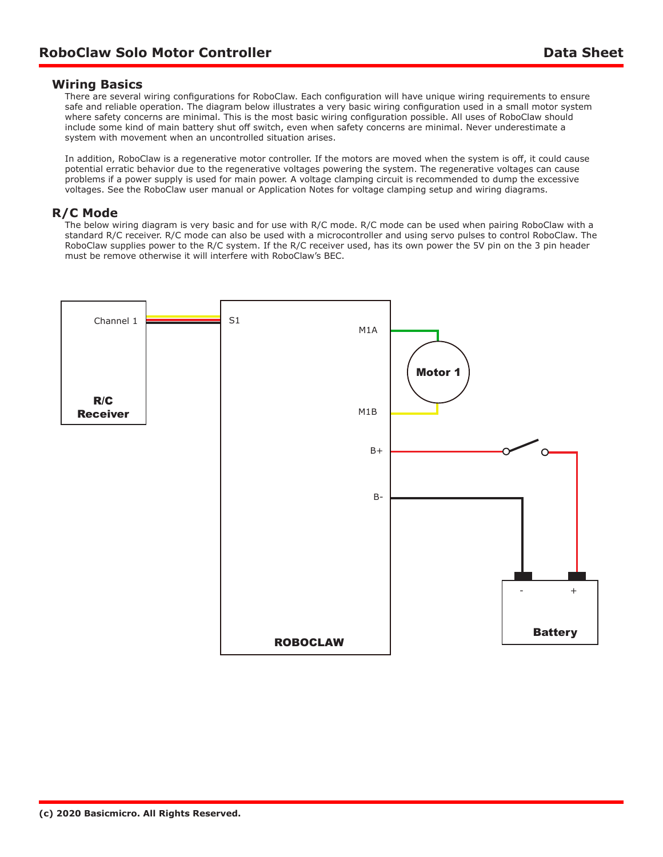#### **Wiring Basics**

There are several wiring configurations for RoboClaw. Each configuration will have unique wiring requirements to ensure safe and reliable operation. The diagram below illustrates a very basic wiring configuration used in a small motor system where safety concerns are minimal. This is the most basic wiring configuration possible. All uses of RoboClaw should include some kind of main battery shut off switch, even when safety concerns are minimal. Never underestimate a system with movement when an uncontrolled situation arises.

In addition, RoboClaw is a regenerative motor controller. If the motors are moved when the system is off, it could cause potential erratic behavior due to the regenerative voltages powering the system. The regenerative voltages can cause problems if a power supply is used for main power. A voltage clamping circuit is recommended to dump the excessive voltages. See the RoboClaw user manual or Application Notes for voltage clamping setup and wiring diagrams.

#### **R/C Mode**

The below wiring diagram is very basic and for use with R/C mode. R/C mode can be used when pairing RoboClaw with a standard R/C receiver. R/C mode can also be used with a microcontroller and using servo pulses to control RoboClaw. The RoboClaw supplies power to the R/C system. If the R/C receiver used, has its own power the 5V pin on the 3 pin header must be remove otherwise it will interfere with RoboClaw's BEC.

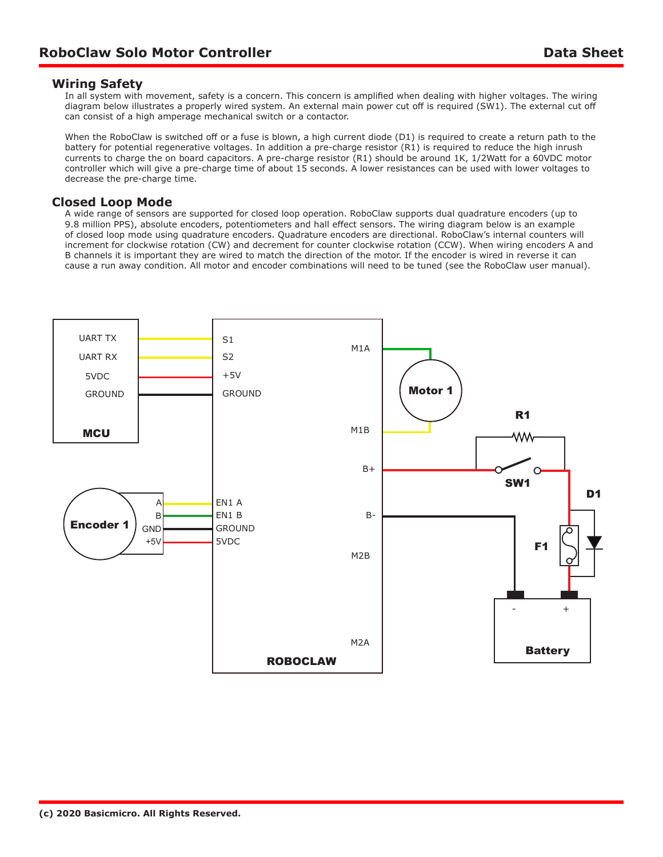## **Wiring Safety**

In all system with movement, safety is a concern. This concern is amplified when dealing with higher voltages. The wiring diagram below illustrates a properly wired system. An external main power cut off is required (SW1). The external cut off can consist of a high amperage mechanical switch or a contactor.

When the RoboClaw is switched off or a fuse is blown, a high current diode (D1) is required to create a return path to the battery for potential regenerative voltages. In addition a pre-charge resistor (R1) is required to reduce the high inrush currents to charge the on board capacitors. A pre-charge resistor (R1) should be around 1K, 1/2Watt for a 60VDC motor controller which will give a pre-charge time of about 15 seconds. A lower resistances can be used with lower voltages to decrease the pre-charge time.

## **Closed Loop Mode**

A wide range of sensors are supported for closed loop operation. RoboClaw supports dual quadrature encoders (up to 9.8 million PPS), absolute encoders, potentiometers and hall effect sensors. The wiring diagram below is an example of closed loop mode using quadrature encoders. Quadrature encoders are directional. RoboClaw's internal counters will increment for clockwise rotation (CW) and decrement for counter clockwise rotation (CCW). When wiring encoders A and B channels it is important they are wired to match the direction of the motor. If the encoder is wired in reverse it can cause a run away condition. All motor and encoder combinations will need to be tuned (see the RoboClaw user manual).

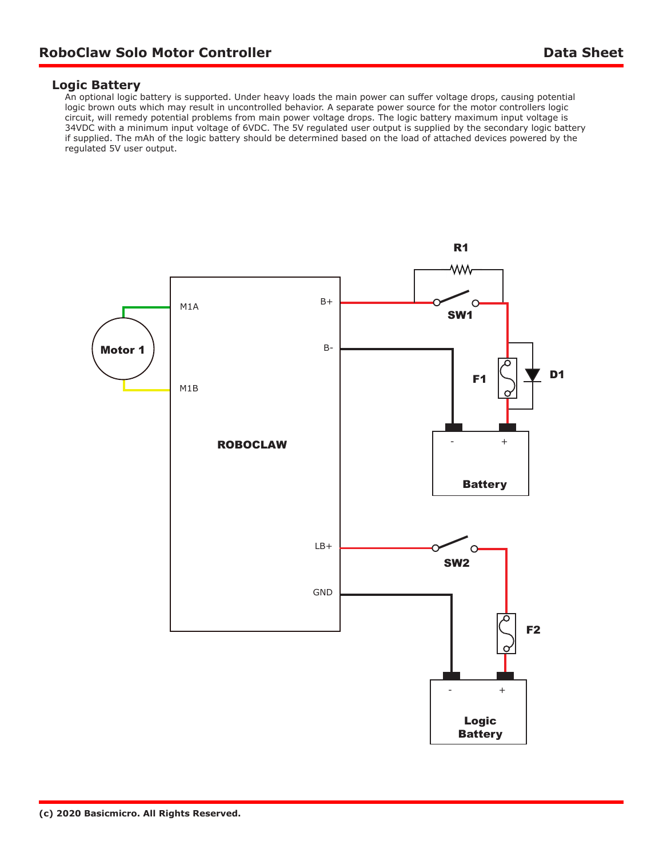#### **Logic Battery**

An optional logic battery is supported. Under heavy loads the main power can suffer voltage drops, causing potential logic brown outs which may result in uncontrolled behavior. A separate power source for the motor controllers logic circuit, will remedy potential problems from main power voltage drops. The logic battery maximum input voltage is 34VDC with a minimum input voltage of 6VDC. The 5V regulated user output is supplied by the secondary logic battery if supplied. The mAh of the logic battery should be determined based on the load of attached devices powered by the regulated 5V user output.

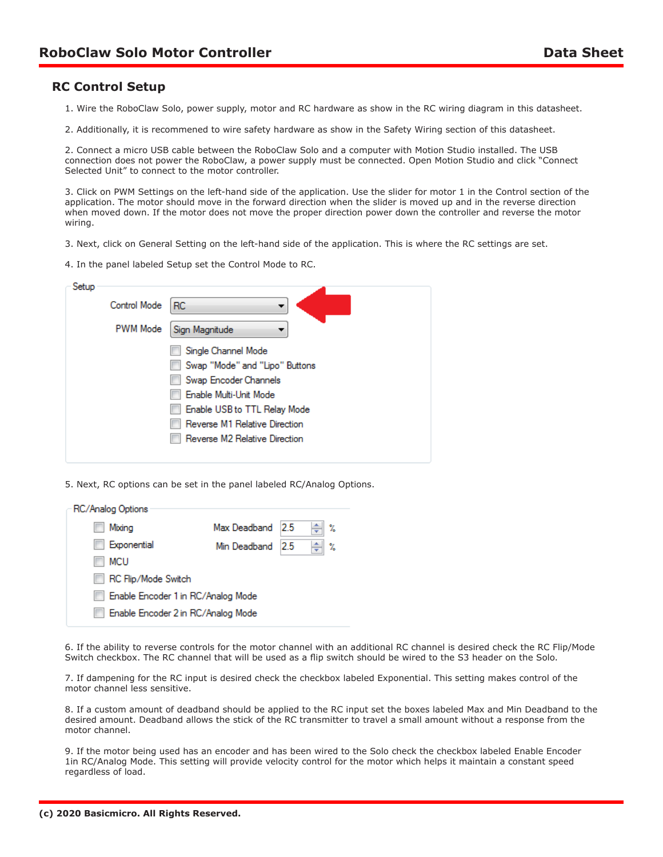## **RC Control Setup**

1. Wire the RoboClaw Solo, power supply, motor and RC hardware as show in the RC wiring diagram in this datasheet.

2. Additionally, it is recommened to wire safety hardware as show in the Safety Wiring section of this datasheet.

2. Connect a micro USB cable between the RoboClaw Solo and a computer with Motion Studio installed. The USB connection does not power the RoboClaw, a power supply must be connected. Open Motion Studio and click "Connect Selected Unit" to connect to the motor controller.

3. Click on PWM Settings on the left-hand side of the application. Use the slider for motor 1 in the Control section of the application. The motor should move in the forward direction when the slider is moved up and in the reverse direction when moved down. If the motor does not move the proper direction power down the controller and reverse the motor wiring.

3. Next, click on General Setting on the left-hand side of the application. This is where the RC settings are set.

4. In the panel labeled Setup set the Control Mode to RC.

| Setup |                 |                                |
|-------|-----------------|--------------------------------|
|       | Control Mode    | RC.<br>▼                       |
|       | <b>PWM Mode</b> | Sign Magnitude                 |
|       |                 | Single Channel Mode            |
|       |                 | Swap "Mode" and "Lipo" Buttons |
|       |                 | Swap Encoder Channels          |
|       |                 | Enable Multi-Unit Mode         |
|       |                 | Enable USB to TTL Relay Mode   |
|       |                 | Reverse M1 Relative Direction  |
|       |                 | Reverse M2 Relative Direction  |
|       |                 |                                |

5. Next, RC options can be set in the panel labeled RC/Analog Options.

| RC/Analog Options                  |              |    |   |  |  |  |  |  |
|------------------------------------|--------------|----|---|--|--|--|--|--|
|                                    |              |    |   |  |  |  |  |  |
| Mixina<br>u                        | Max Deadband | 25 | X |  |  |  |  |  |
| Exponential                        | Min Deadband | 25 | X |  |  |  |  |  |
| <b>MCU</b>                         |              |    |   |  |  |  |  |  |
| <b>RC Flip/Mode Switch</b>         |              |    |   |  |  |  |  |  |
| Enable Encoder 1 in RC/Analog Mode |              |    |   |  |  |  |  |  |
| Enable Encoder 2 in RC/Analog Mode |              |    |   |  |  |  |  |  |
|                                    |              |    |   |  |  |  |  |  |

6. If the ability to reverse controls for the motor channel with an additional RC channel is desired check the RC Flip/Mode Switch checkbox. The RC channel that will be used as a flip switch should be wired to the S3 header on the Solo.

7. If dampening for the RC input is desired check the checkbox labeled Exponential. This setting makes control of the motor channel less sensitive.

8. If a custom amount of deadband should be applied to the RC input set the boxes labeled Max and Min Deadband to the desired amount. Deadband allows the stick of the RC transmitter to travel a small amount without a response from the motor channel.

9. If the motor being used has an encoder and has been wired to the Solo check the checkbox labeled Enable Encoder 1in RC/Analog Mode. This setting will provide velocity control for the motor which helps it maintain a constant speed regardless of load.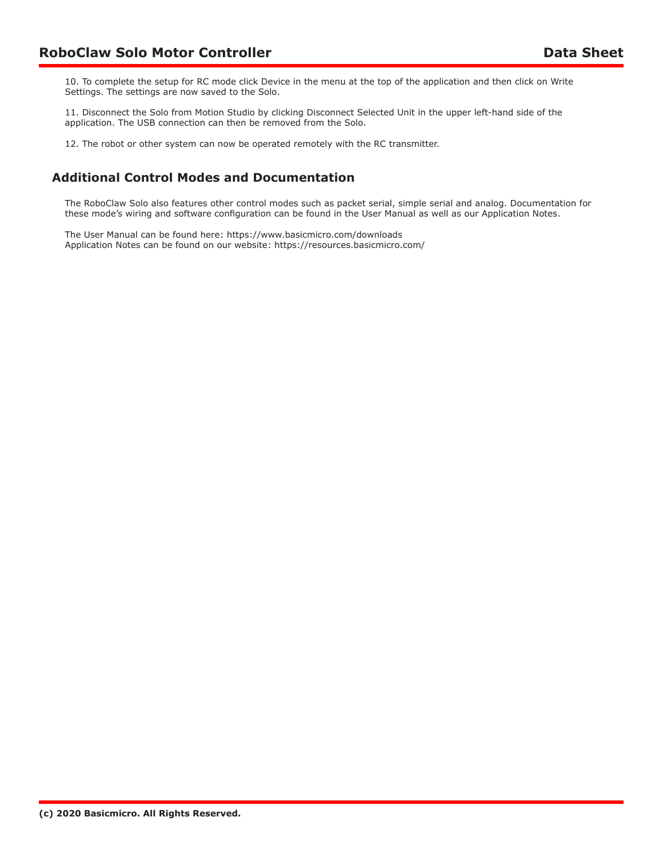10. To complete the setup for RC mode click Device in the menu at the top of the application and then click on Write Settings. The settings are now saved to the Solo.

11. Disconnect the Solo from Motion Studio by clicking Disconnect Selected Unit in the upper left-hand side of the application. The USB connection can then be removed from the Solo.

12. The robot or other system can now be operated remotely with the RC transmitter.

## **Additional Control Modes and Documentation**

The RoboClaw Solo also features other control modes such as packet serial, simple serial and analog. Documentation for these mode's wiring and software configuration can be found in the User Manual as well as our Application Notes.

The User Manual can be found here: https://www.basicmicro.com/downloads Application Notes can be found on our website: https://resources.basicmicro.com/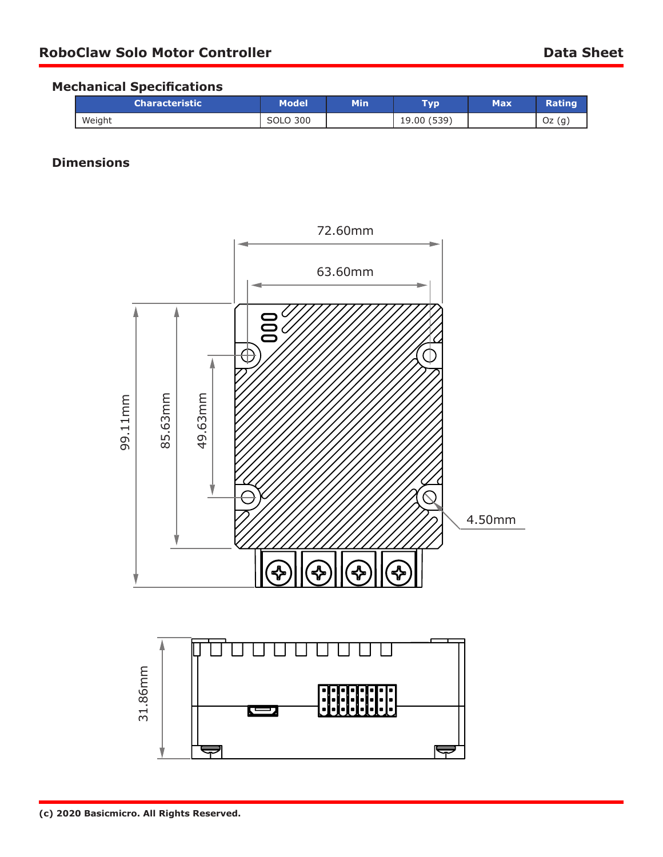## **Mechanical Specifications**

| \Characteristic \ | Model    | Min | Турі        | <b>Max</b> |          |
|-------------------|----------|-----|-------------|------------|----------|
| Weight            | SOLO 300 |     | 19.00 (539) |            | —ר<br>UZ |

# **Dimensions**

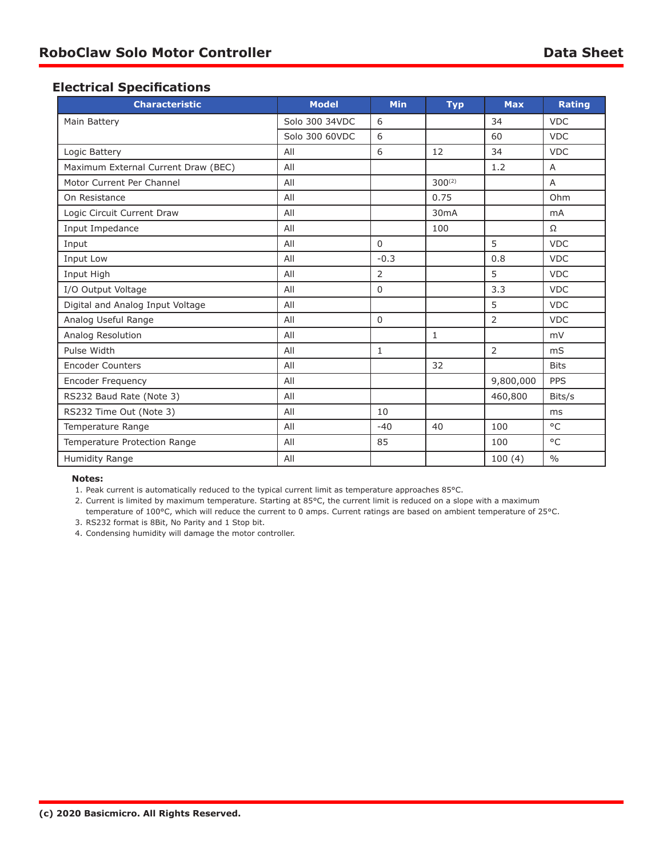## **Electrical Specifications**

| <b>Characteristic</b>               | <b>Model</b>   | <b>Min</b>     | <b>Typ</b>  | <b>Max</b>     | <b>Rating</b>  |
|-------------------------------------|----------------|----------------|-------------|----------------|----------------|
| Main Battery                        | Solo 300 34VDC | 6              |             | 34             | <b>VDC</b>     |
|                                     | Solo 300 60VDC | 6              |             | 60             | <b>VDC</b>     |
| Logic Battery                       | All            | 6              | 12          | 34             | <b>VDC</b>     |
| Maximum External Current Draw (BEC) | All            |                |             | 1.2            | A              |
| Motor Current Per Channel           | All            |                | $300^{(2)}$ |                | A              |
| On Resistance                       | All            |                | 0.75        |                | Ohm            |
| Logic Circuit Current Draw          | All            |                | 30mA        |                | m <sub>A</sub> |
| Input Impedance                     | All            |                | 100         |                | $\Omega$       |
| Input                               | All            | $\Omega$       |             | 5              | <b>VDC</b>     |
| Input Low                           | All            | $-0.3$         |             | 0.8            | <b>VDC</b>     |
| Input High                          | All            | $\overline{2}$ |             | 5              | <b>VDC</b>     |
| I/O Output Voltage                  | All            | $\mathbf 0$    |             | 3.3            | <b>VDC</b>     |
| Digital and Analog Input Voltage    | All            |                |             | 5              | <b>VDC</b>     |
| Analog Useful Range                 | All            | $\mathbf 0$    |             | 2              | <b>VDC</b>     |
| Analog Resolution                   | All            |                | 1           |                | mV             |
| Pulse Width                         | All            | $\mathbf{1}$   |             | $\overline{2}$ | m <sub>S</sub> |
| <b>Encoder Counters</b>             | All            |                | 32          |                | <b>Bits</b>    |
| Encoder Frequency                   | All            |                |             | 9,800,000      | <b>PPS</b>     |
| RS232 Baud Rate (Note 3)            | All            |                |             | 460,800        | Bits/s         |
| RS232 Time Out (Note 3)             | All            | 10             |             |                | ms             |
| Temperature Range                   | All            | $-40$          | 40          | 100            | °C             |
| Temperature Protection Range        | All            | 85             |             | 100            | $^{\circ}$ C   |
| Humidity Range                      | All            |                |             | 100(4)         | $\frac{0}{0}$  |

#### **Notes:**

1. Peak current is automatically reduced to the typical current limit as temperature approaches 85°C.

2. Current is limited by maximum temperature. Starting at 85°C, the current limit is reduced on a slope with a maximum temperature of 100°C, which will reduce the current to 0 amps. Current ratings are based on ambient temperature of 25°C.

3. RS232 format is 8Bit, No Parity and 1 Stop bit.

4. Condensing humidity will damage the motor controller.